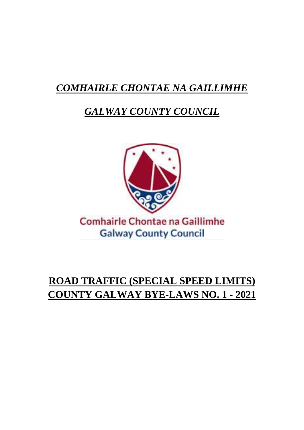# *COMHAIRLE CHONTAE NA GAILLIMHE*

## *GALWAY COUNTY COUNCIL*



# **ROAD TRAFFIC (SPECIAL SPEED LIMITS) COUNTY GALWAY BYE-LAWS NO. 1 - 2021**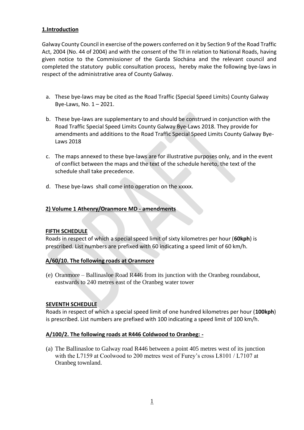#### **1.Introduction**

Galway County Council in exercise of the powers conferred on it by Section 9 of the Road Traffic Act, 2004 (No. 44 of 2004) and with the consent of the TII in relation to National Roads, having given notice to the Commissioner of the Garda Síochána and the relevant council and completed the statutory public consultation process, hereby make the following bye-laws in respect of the administrative area of County Galway.

- a. These bye-laws may be cited as the Road Traffic (Special Speed Limits) County Galway Bye-Laws, No. 1 – 2021.
- b. These bye-laws are supplementary to and should be construed in conjunction with the Road Traffic Special Speed Limits County Galway Bye-Laws 2018. They provide for amendments and additions to the Road Traffic Special Speed Limits County Galway Bye-Laws 2018
- c. The maps annexed to these bye-laws are for illustrative purposes only, and in the event of conflict between the maps and the text of the schedule hereto, the text of the schedule shall take precedence.
- d. These bye-laws shall come into operation on the xxxxx.

#### **2) Volume 1 Athenry/Oranmore MD - amendments**

#### **FIFTH SCHEDULE**

Roads in respect of which a special speed limit of sixty kilometres per hour (**60kph**) is prescribed. List numbers are prefixed with 60 indicating a speed limit of 60 km/h.

#### **A/60/10. The following roads at Oranmore**

(e) Oranmore – Ballinasloe Road R446 from its junction with the Oranbeg roundabout, eastwards to 240 metres east of the Oranbeg water tower

#### **SEVENTH SCHEDULE**

Roads in respect of which a special speed limit of one hundred kilometres per hour (**100kph**) is prescribed. List numbers are prefixed with 100 indicating a speed limit of 100 km/h.

#### **A/100/2. The following roads at R446 Coldwood to Oranbeg: -**

(a) The Ballinasloe to Galway road R446 between a point 405 metres west of its junction with the L7159 at Coolwood to 200 metres west of Furey's cross L8101 / L7107 at Oranbeg townland.